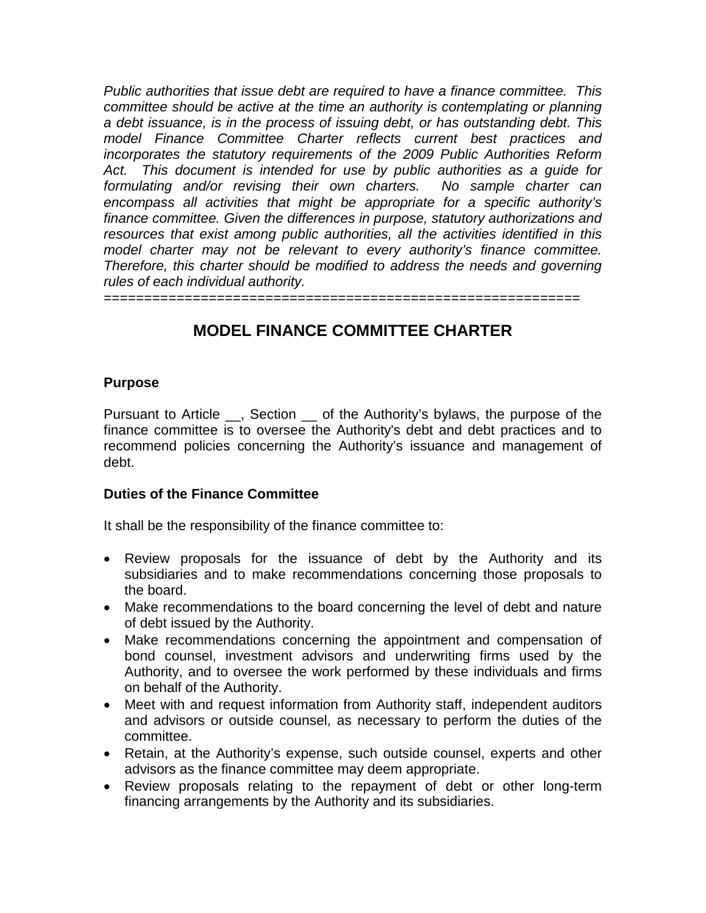*Public authorities that issue debt are required to have a finance committee. This committee should be active at the time an authority is contemplating or planning a debt issuance, is in the process of issuing debt, or has outstanding debt. This model Finance Committee Charter reflects current best practices and incorporates the statutory requirements of the 2009 Public Authorities Reform Act. This document is intended for use by public authorities as a guide for formulating and/or revising their own charters. No sample charter can encompass all activities that might be appropriate for a specific authority's finance committee. Given the differences in purpose, statutory authorizations and resources that exist among public authorities, all the activities identified in this model charter may not be relevant to every authority's finance committee. Therefore, this charter should be modified to address the needs and governing rules of each individual authority.* 

===========================================================

# **MODEL FINANCE COMMITTEE CHARTER**

#### **Purpose**

Pursuant to Article \_\_, Section \_\_ of the Authority's bylaws, the purpose of the finance committee is to oversee the Authority's debt and debt practices and to recommend policies concerning the Authority's issuance and management of debt.

#### **Duties of the Finance Committee**

It shall be the responsibility of the finance committee to:

- Review proposals for the issuance of debt by the Authority and its subsidiaries and to make recommendations concerning those proposals to the board.
- Make recommendations to the board concerning the level of debt and nature of debt issued by the Authority.
- Make recommendations concerning the appointment and compensation of bond counsel, investment advisors and underwriting firms used by the Authority, and to oversee the work performed by these individuals and firms on behalf of the Authority.
- Meet with and request information from Authority staff, independent auditors and advisors or outside counsel, as necessary to perform the duties of the committee.
- Retain, at the Authority's expense, such outside counsel, experts and other advisors as the finance committee may deem appropriate.
- Review proposals relating to the repayment of debt or other long-term financing arrangements by the Authority and its subsidiaries.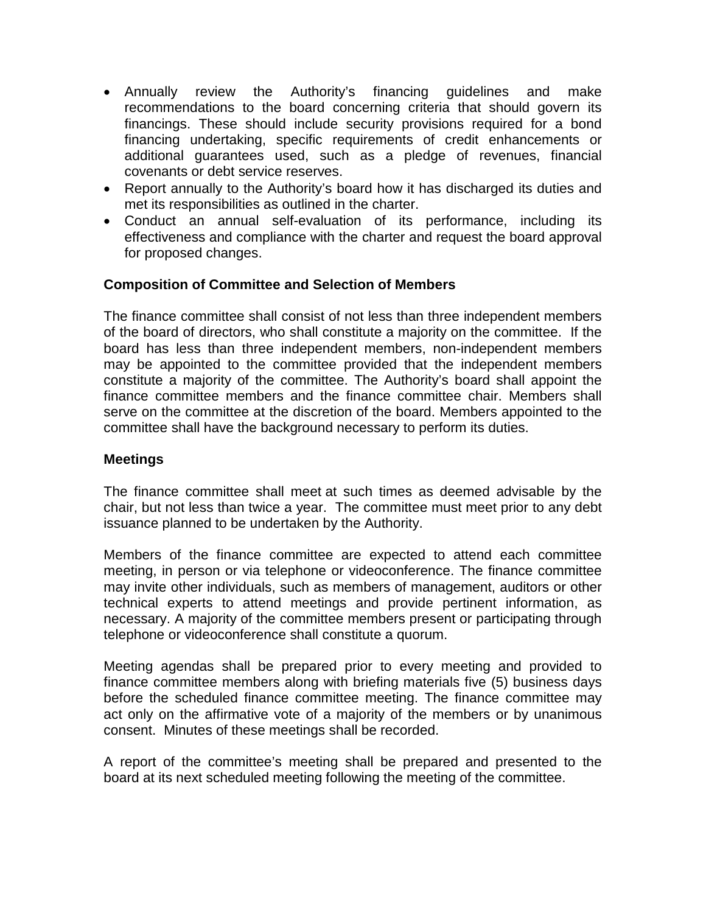- Annually review the Authority's financing guidelines and make recommendations to the board concerning criteria that should govern its financings. These should include security provisions required for a bond financing undertaking, specific requirements of credit enhancements or additional guarantees used, such as a pledge of revenues, financial covenants or debt service reserves.
- Report annually to the Authority's board how it has discharged its duties and met its responsibilities as outlined in the charter.
- Conduct an annual self-evaluation of its performance, including its effectiveness and compliance with the charter and request the board approval for proposed changes.

## **Composition of Committee and Selection of Members**

The finance committee shall consist of not less than three independent members of the board of directors, who shall constitute a majority on the committee. If the board has less than three independent members, non-independent members may be appointed to the committee provided that the independent members constitute a majority of the committee. The Authority's board shall appoint the finance committee members and the finance committee chair. Members shall serve on the committee at the discretion of the board. Members appointed to the committee shall have the background necessary to perform its duties.

#### **Meetings**

The finance committee shall meet at such times as deemed advisable by the chair, but not less than twice a year. The committee must meet prior to any debt issuance planned to be undertaken by the Authority.

Members of the finance committee are expected to attend each committee meeting, in person or via telephone or videoconference. The finance committee may invite other individuals, such as members of management, auditors or other technical experts to attend meetings and provide pertinent information, as necessary. A majority of the committee members present or participating through telephone or videoconference shall constitute a quorum.

Meeting agendas shall be prepared prior to every meeting and provided to finance committee members along with briefing materials five (5) business days before the scheduled finance committee meeting. The finance committee may act only on the affirmative vote of a majority of the members or by unanimous consent. Minutes of these meetings shall be recorded.

A report of the committee's meeting shall be prepared and presented to the board at its next scheduled meeting following the meeting of the committee.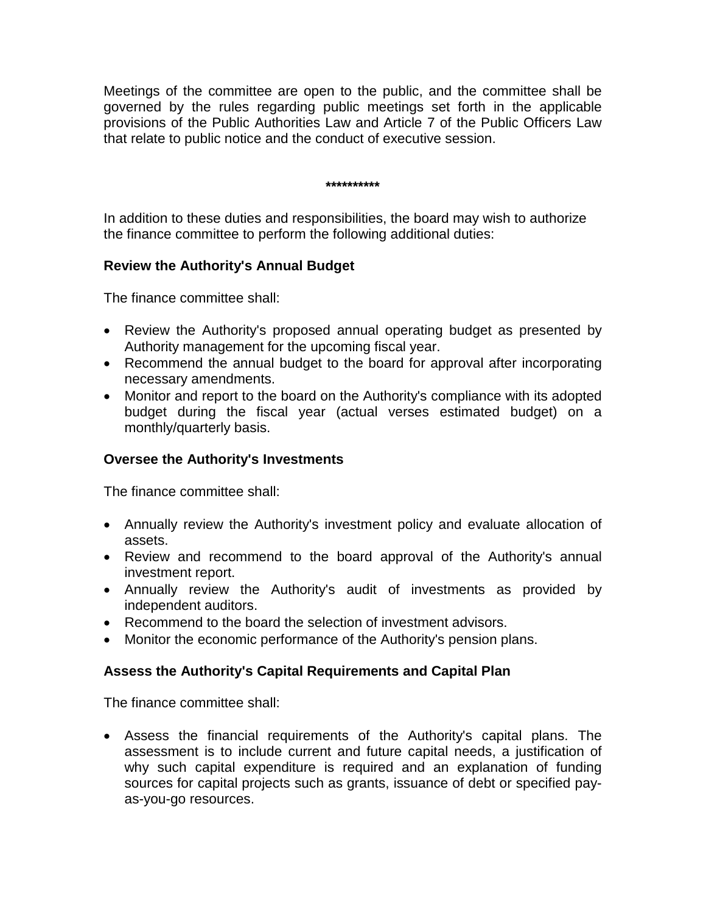Meetings of the committee are open to the public, and the committee shall be governed by the rules regarding public meetings set forth in the applicable provisions of the Public Authorities Law and Article 7 of the Public Officers Law that relate to public notice and the conduct of executive session.

**\*\*\*\*\*\*\*\*\*\***

In addition to these duties and responsibilities, the board may wish to authorize the finance committee to perform the following additional duties:

#### **Review the Authority's Annual Budget**

The finance committee shall:

- Review the Authority's proposed annual operating budget as presented by Authority management for the upcoming fiscal year.
- Recommend the annual budget to the board for approval after incorporating necessary amendments.
- Monitor and report to the board on the Authority's compliance with its adopted budget during the fiscal year (actual verses estimated budget) on a monthly/quarterly basis.

## **Oversee the Authority's Investments**

The finance committee shall:

- Annually review the Authority's investment policy and evaluate allocation of assets.
- Review and recommend to the board approval of the Authority's annual investment report.
- Annually review the Authority's audit of investments as provided by independent auditors.
- Recommend to the board the selection of investment advisors.
- Monitor the economic performance of the Authority's pension plans.

# **Assess the Authority's Capital Requirements and Capital Plan**

The finance committee shall:

• Assess the financial requirements of the Authority's capital plans. The assessment is to include current and future capital needs, a justification of why such capital expenditure is required and an explanation of funding sources for capital projects such as grants, issuance of debt or specified payas-you-go resources.